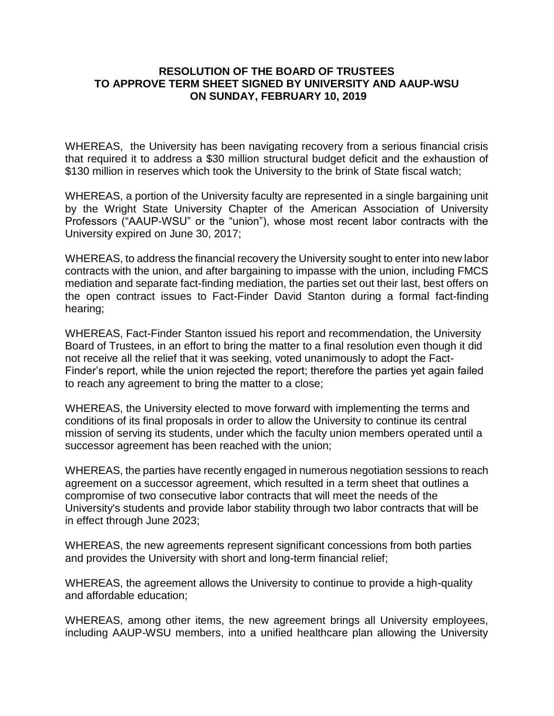## **RESOLUTION OF THE BOARD OF TRUSTEES TO APPROVE TERM SHEET SIGNED BY UNIVERSITY AND AAUP-WSU ON SUNDAY, FEBRUARY 10, 2019**

WHEREAS, the University has been navigating recovery from a serious financial crisis that required it to address a \$30 million structural budget deficit and the exhaustion of \$130 million in reserves which took the University to the brink of State fiscal watch;

WHEREAS, a portion of the University faculty are represented in a single bargaining unit by the Wright State University Chapter of the American Association of University Professors ("AAUP-WSU" or the "union"), whose most recent labor contracts with the University expired on June 30, 2017;

WHEREAS, to address the financial recovery the University sought to enter into new labor contracts with the union, and after bargaining to impasse with the union, including FMCS mediation and separate fact-finding mediation, the parties set out their last, best offers on the open contract issues to Fact-Finder David Stanton during a formal fact-finding hearing;

WHEREAS, Fact-Finder Stanton issued his report and recommendation, the University Board of Trustees, in an effort to bring the matter to a final resolution even though it did not receive all the relief that it was seeking, voted unanimously to adopt the Fact-Finder's report, while the union rejected the report; therefore the parties yet again failed to reach any agreement to bring the matter to a close;

WHEREAS, the University elected to move forward with implementing the terms and conditions of its final proposals in order to allow the University to continue its central mission of serving its students, under which the faculty union members operated until a successor agreement has been reached with the union;

WHEREAS, the parties have recently engaged in numerous negotiation sessions to reach agreement on a successor agreement, which resulted in a term sheet that outlines a compromise of two consecutive labor contracts that will meet the needs of the University's students and provide labor stability through two labor contracts that will be in effect through June 2023;

WHEREAS, the new agreements represent significant concessions from both parties and provides the University with short and long-term financial relief;

WHEREAS, the agreement allows the University to continue to provide a high-quality and affordable education;

WHEREAS, among other items, the new agreement brings all University employees, including AAUP-WSU members, into a unified healthcare plan allowing the University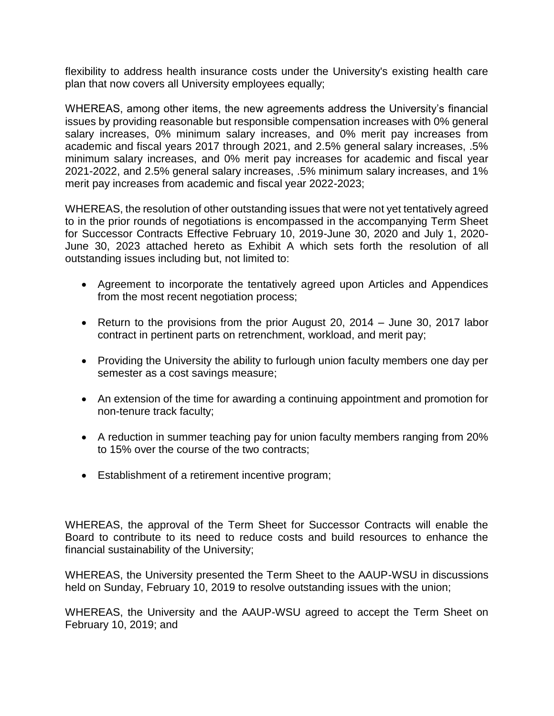flexibility to address health insurance costs under the University's existing health care plan that now covers all University employees equally;

WHEREAS, among other items, the new agreements address the University's financial issues by providing reasonable but responsible compensation increases with 0% general salary increases, 0% minimum salary increases, and 0% merit pay increases from academic and fiscal years 2017 through 2021, and 2.5% general salary increases, .5% minimum salary increases, and 0% merit pay increases for academic and fiscal year 2021-2022, and 2.5% general salary increases, .5% minimum salary increases, and 1% merit pay increases from academic and fiscal year 2022-2023;

WHEREAS, the resolution of other outstanding issues that were not yet tentatively agreed to in the prior rounds of negotiations is encompassed in the accompanying Term Sheet for Successor Contracts Effective February 10, 2019-June 30, 2020 and July 1, 2020- June 30, 2023 attached hereto as Exhibit A which sets forth the resolution of all outstanding issues including but, not limited to:

- Agreement to incorporate the tentatively agreed upon Articles and Appendices from the most recent negotiation process;
- Return to the provisions from the prior August 20, 2014 June 30, 2017 labor contract in pertinent parts on retrenchment, workload, and merit pay;
- Providing the University the ability to furlough union faculty members one day per semester as a cost savings measure;
- An extension of the time for awarding a continuing appointment and promotion for non-tenure track faculty;
- A reduction in summer teaching pay for union faculty members ranging from 20% to 15% over the course of the two contracts;
- Establishment of a retirement incentive program;

WHEREAS, the approval of the Term Sheet for Successor Contracts will enable the Board to contribute to its need to reduce costs and build resources to enhance the financial sustainability of the University;

WHEREAS, the University presented the Term Sheet to the AAUP-WSU in discussions held on Sunday, February 10, 2019 to resolve outstanding issues with the union;

WHEREAS, the University and the AAUP-WSU agreed to accept the Term Sheet on February 10, 2019; and